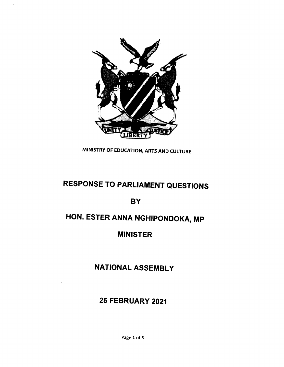

 $\lambda$ 

MINISTRY OF EDUCATION, ARTS AND CULTURE

# **RESPONSE TO PARLIAMENT QUESTIONS**

#### **BY**

# **HON. ESTER ANNA NGHIPONDOKA, MP**

### **MINISTER**

## **NATIONAL ASSEMBLY**

### **25 FEBRUARY 2021**